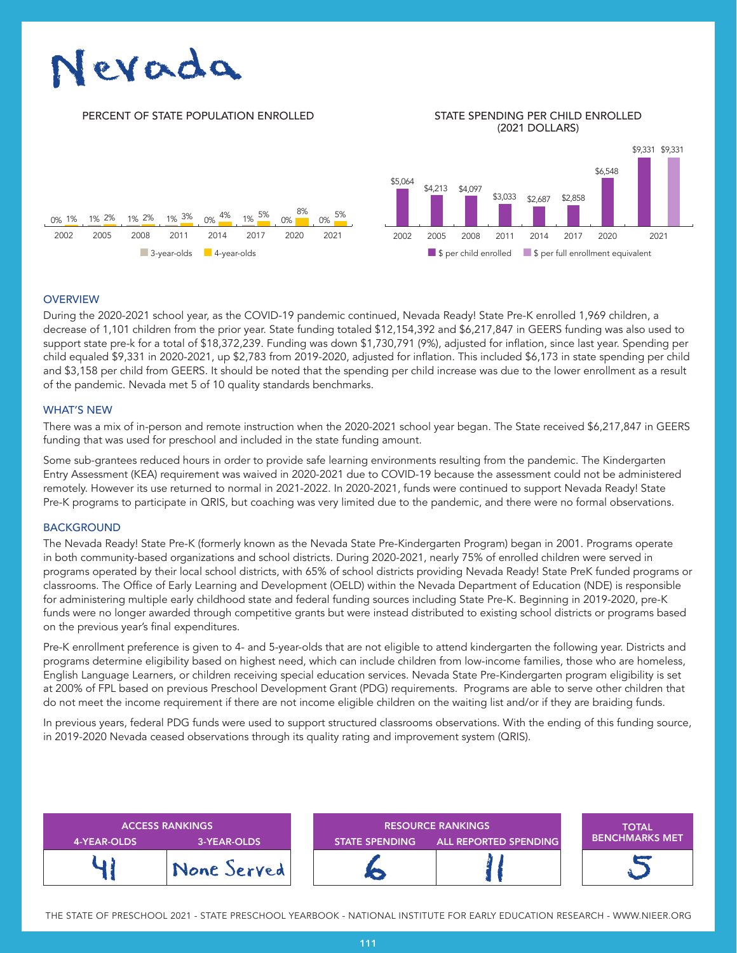# Nevada

# PERCENT OF STATE POPULATION ENROLLED STATE SPENDING PER CHILD ENROLLED

# (2021 DOLLARS)



# **OVERVIEW**

During the 2020-2021 school year, as the COVID-19 pandemic continued, Nevada Ready! State Pre-K enrolled 1,969 children, a decrease of 1,101 children from the prior year. State funding totaled \$12,154,392 and \$6,217,847 in GEERS funding was also used to support state pre-k for a total of \$18,372,239. Funding was down \$1,730,791 (9%), adjusted for inflation, since last year. Spending per child equaled \$9,331 in 2020-2021, up \$2,783 from 2019-2020, adjusted for inflation. This included \$6,173 in state spending per child and \$3,158 per child from GEERS. It should be noted that the spending per child increase was due to the lower enrollment as a result of the pandemic. Nevada met 5 of 10 quality standards benchmarks.

#### WHAT'S NEW

There was a mix of in-person and remote instruction when the 2020-2021 school year began. The State received \$6,217,847 in GEERS funding that was used for preschool and included in the state funding amount.

Some sub-grantees reduced hours in order to provide safe learning environments resulting from the pandemic. The Kindergarten Entry Assessment (KEA) requirement was waived in 2020-2021 due to COVID-19 because the assessment could not be administered remotely. However its use returned to normal in 2021-2022. In 2020-2021, funds were continued to support Nevada Ready! State Pre-K programs to participate in QRIS, but coaching was very limited due to the pandemic, and there were no formal observations.

# **BACKGROUND**

The Nevada Ready! State Pre-K (formerly known as the Nevada State Pre-Kindergarten Program) began in 2001. Programs operate in both community-based organizations and school districts. During 2020-2021, nearly 75% of enrolled children were served in programs operated by their local school districts, with 65% of school districts providing Nevada Ready! State PreK funded programs or classrooms. The Office of Early Learning and Development (OELD) within the Nevada Department of Education (NDE) is responsible for administering multiple early childhood state and federal funding sources including State Pre-K. Beginning in 2019-2020, pre-K funds were no longer awarded through competitive grants but were instead distributed to existing school districts or programs based on the previous year's final expenditures.

Pre-K enrollment preference is given to 4- and 5-year-olds that are not eligible to attend kindergarten the following year. Districts and programs determine eligibility based on highest need, which can include children from low-income families, those who are homeless, English Language Learners, or children receiving special education services. Nevada State Pre-Kindergarten program eligibility is set at 200% of FPL based on previous Preschool Development Grant (PDG) requirements. Programs are able to serve other children that do not meet the income requirement if there are not income eligible children on the waiting list and/or if they are braiding funds.

In previous years, federal PDG funds were used to support structured classrooms observations. With the ending of this funding source, in 2019-2020 Nevada ceased observations through its quality rating and improvement system (QRIS).

| 4-YEAR-OLDS | <b>ACCESS RANKINGS</b><br>3-YEAR-OLDS | <b>RESOURCE RANKINGS</b><br><b>ALL REPORTED SPENDING</b><br><b>STATE SPENDING</b> |  | <b>TOTAL</b><br><b>BENCHMARKS MET</b> ' |
|-------------|---------------------------------------|-----------------------------------------------------------------------------------|--|-----------------------------------------|
|             | None Served                           |                                                                                   |  |                                         |

THE STATE OF PRESCHOOL 2021 - STATE PRESCHOOL YEARBOOK - NATIONAL INSTITUTE FOR EARLY EDUCATION RESEARCH - WWW.NIEER.ORG